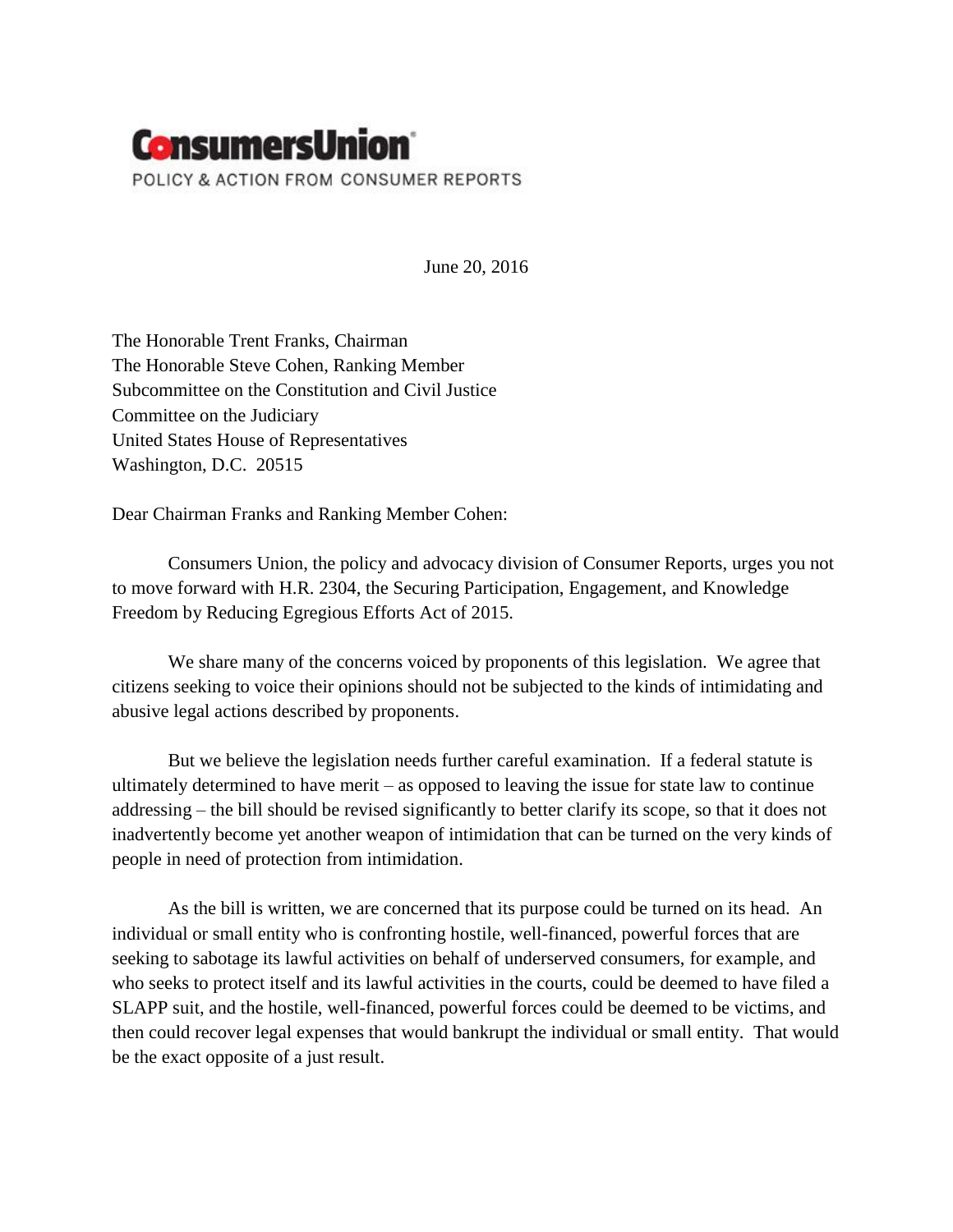

June 20, 2016

The Honorable Trent Franks, Chairman The Honorable Steve Cohen, Ranking Member Subcommittee on the Constitution and Civil Justice Committee on the Judiciary United States House of Representatives Washington, D.C. 20515

Dear Chairman Franks and Ranking Member Cohen:

Consumers Union, the policy and advocacy division of Consumer Reports, urges you not to move forward with H.R. 2304, the Securing Participation, Engagement, and Knowledge Freedom by Reducing Egregious Efforts Act of 2015.

We share many of the concerns voiced by proponents of this legislation. We agree that citizens seeking to voice their opinions should not be subjected to the kinds of intimidating and abusive legal actions described by proponents.

But we believe the legislation needs further careful examination. If a federal statute is ultimately determined to have merit – as opposed to leaving the issue for state law to continue addressing – the bill should be revised significantly to better clarify its scope, so that it does not inadvertently become yet another weapon of intimidation that can be turned on the very kinds of people in need of protection from intimidation.

As the bill is written, we are concerned that its purpose could be turned on its head. An individual or small entity who is confronting hostile, well-financed, powerful forces that are seeking to sabotage its lawful activities on behalf of underserved consumers, for example, and who seeks to protect itself and its lawful activities in the courts, could be deemed to have filed a SLAPP suit, and the hostile, well-financed, powerful forces could be deemed to be victims, and then could recover legal expenses that would bankrupt the individual or small entity. That would be the exact opposite of a just result.